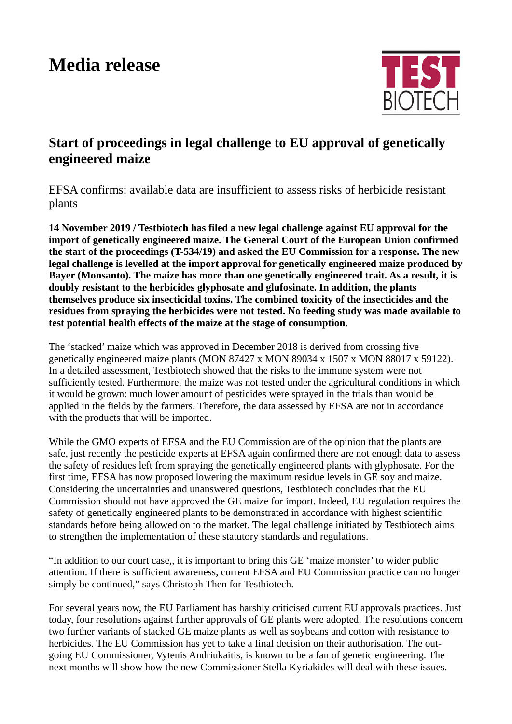## **Media release**



## **Start of proceedings in legal challenge to EU approval of genetically engineered maize**

EFSA confirms: available data are insufficient to assess risks of herbicide resistant plants

**14 November 2019 / Testbiotech has filed a new legal challenge against EU approval for the import of genetically engineered maize. The General Court of the European Union confirmed the start of the proceedings (T-534/19) and asked the EU Commission for a response. The new legal challenge is levelled at the import approval for genetically engineered maize produced by Bayer (Monsanto). The maize has more than one genetically engineered trait. As a result, it is doubly resistant to the herbicides glyphosate and glufosinate. In addition, the plants themselves produce six insecticidal toxins. The combined toxicity of the insecticides and the residues from spraying the herbicides were not tested. No feeding study was made available to test potential health effects of the maize at the stage of consumption.** 

The 'stacked' maize which was approved in December 2018 is derived from crossing five genetically engineered maize plants (MON 87427 x MON 89034 x 1507 x MON 88017 x 59122). In a detailed assessment, Testbiotech showed that the risks to the immune system were not sufficiently tested. Furthermore, the maize was not tested under the agricultural conditions in which it would be grown: much lower amount of pesticides were sprayed in the trials than would be applied in the fields by the farmers. Therefore, the data assessed by EFSA are not in accordance with the products that will be imported.

While the GMO experts of EFSA and the EU Commission are of the opinion that the plants are safe, just recently the pesticide experts at EFSA again confirmed there are not enough data to assess the safety of residues left from spraying the genetically engineered plants with glyphosate. For the first time, EFSA has now proposed lowering the maximum residue levels in GE soy and maize. Considering the uncertainties and unanswered questions, Testbiotech concludes that the EU Commission should not have approved the GE maize for import. Indeed, EU regulation requires the safety of genetically engineered plants to be demonstrated in accordance with highest scientific standards before being allowed on to the market. The legal challenge initiated by Testbiotech aims to strengthen the implementation of these statutory standards and regulations.

"In addition to our court case,, it is important to bring this GE 'maize monster' to wider public attention. If there is sufficient awareness, current EFSA and EU Commission practice can no longer simply be continued," says Christoph Then for Testbiotech.

For several years now, the EU Parliament has harshly criticised current EU approvals practices. Just today, four resolutions against further approvals of GE plants were adopted. The resolutions concern two further variants of stacked GE maize plants as well as soybeans and cotton with resistance to herbicides. The EU Commission has yet to take a final decision on their authorisation. The outgoing EU Commissioner, Vytenis Andriukaitis, is known to be a fan of genetic engineering. The next months will show how the new Commissioner Stella Kyriakides will deal with these issues.